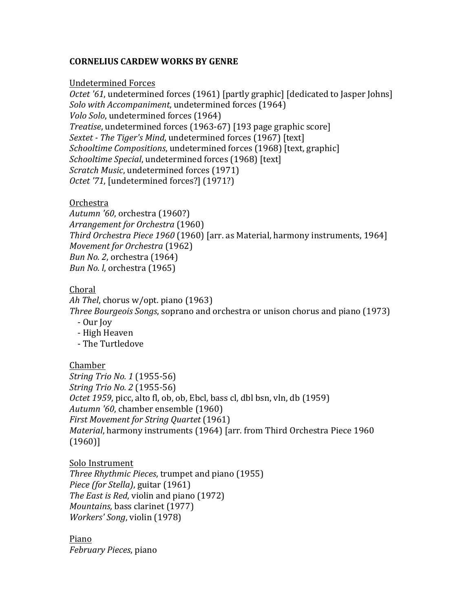## **CORNELIUS CARDEW WORKS BY GENRE**

#### Undetermined!Forces

*Octet '61*, undetermined forces (1961) [partly graphic] [dedicated to Jasper Johns] *Solo with Accompaniment*, undetermined forces (1964) *Volo Solo*, undetermined forces (1964) *Treatise*, undetermined forces (1963-67) [193 page graphic score] *Sextet - The Tiger's Mind*, undetermined forces (1967) [text] *Schooltime Compositions*, undetermined forces (1968) [text, graphic] *Schooltime Special*, undetermined forces (1968) [text] *Scratch Music*, undetermined forces (1971) *Octet '71*, [undetermined forces?] (1971?)

## Orchestra

*Autumn '60*, orchestra (1960?) *Arrangement for Orchestra* (1960) *Third Orchestra Piece 1960* (1960) [arr. as Material, harmony instruments, 1964] *Movement for Orchestra* (1962) *Bun No. 2*, orchestra (1964) *Bun No. l, orchestra (1965)* 

## Choral

*Ah Thel*, chorus w/opt. piano (1963) *Three Bourgeois Songs, soprano and orchestra or unison chorus and piano (1973)* 

- Our Joy
- High Heaven
- The Turtledove

## Chamber

*String Trio No. 1* (1955-56) *String Trio No. 2* (1955-56) *Octet 1959*, picc, alto fl, ob, ob, Ebcl, bass cl, dbl bsn, vln, db (1959) Autumn '60, chamber ensemble (1960) *First Movement for String Quartet* (1961) *Material*, harmony instruments (1964) [arr. from Third Orchestra Piece 1960 (1960)]

## Solo Instrument

*Three Rhythmic Pieces, trumpet and piano (1955) Piece (for Stella)*, guitar (1961) *The East is Red*, violin and piano (1972). *Mountains, bass clarinet (1977) Workers' Song*, violin (1978)

Piano *February%Pieces*,!piano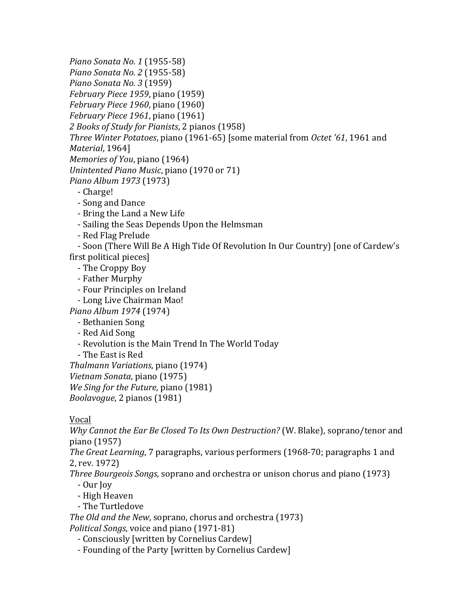*Piano Sonata No. 1* (1955-58) *Piano Sonata No. 2* (1955-58) *Piano%Sonata%No.%3* (1959) *February Piece 1959*, piano (1959) *February Piece 1960*, piano (1960) *February Piece 1961*, piano (1961) 2 Books of Study for Pianists, 2 pianos (1958) *Three Winter Potatoes, piano* (1961-65) [some material from *Octet '61,* 1961 and *Material*, 1964] *Memories of You*, piano (1964) *Unintented Piano Music*, piano (1970 or 71) *Piano%Album%1973* (1973) - Charge! - Song and Dance - Bring the Land a New Life - Sailing the Seas Depends Upon the Helmsman - Red Flag Prelude - Soon (There Will Be A High Tide Of Revolution In Our Country) [one of Cardew's first political pieces] - The Croppy Boy - Father Murphy - Four Principles on Ireland - Long Live Chairman Mao! *Piano%Album%1974* (1974) - Bethanien Song - Red Aid Song - Revolution is the Main Trend In The World Today - The East is Red *Thalmann Variations*, piano (1974) *Vietnam Sonata*, piano (1975)

*We Sing for the Future, piano* (1981)

*Boolavogue*, 2 pianos (1981)

Vocal

*Why Cannot the Ear Be Closed To Its Own Destruction?* (W. Blake), soprano/tenor and piano (1957)

*The Great Learning*, 7 paragraphs, various performers (1968-70; paragraphs 1 and 2, rev. 1972)

*Three Bourgeois Songs*, soprano and orchestra or unison chorus and piano (1973)

- Our Joy
- High Heaven
- The Turtledove

*The Old and the New, soprano, chorus and orchestra (1973) Political Songs*, voice and piano (1971-81)

- Consciously [written by Cornelius Cardew]

- Founding of the Party [written by Cornelius Cardew]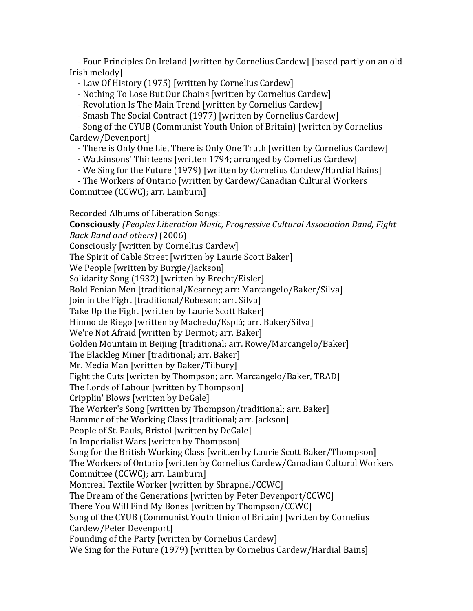- Four Principles On Ireland [written by Cornelius Cardew] [based partly on an old Irish melody]

- Law Of History (1975) [written by Cornelius Cardew]

- Nothing To Lose But Our Chains [written by Cornelius Cardew]

- Revolution Is The Main Trend [written by Cornelius Cardew]

- Smash The Social Contract (1977) [written by Cornelius Cardew]

- Song of the CYUB (Communist Youth Union of Britain) [written by Cornelius Cardew/Devenport]

- There is Only One Lie, There is Only One Truth [written by Cornelius Cardew]

- Watkinsons' Thirteens [written 1794; arranged by Cornelius Cardew]

- We Sing for the Future (1979) [written by Cornelius Cardew/Hardial Bains]

- The Workers of Ontario [written by Cardew/Canadian Cultural Workers] Committee (CCWC); arr. Lamburn]

# Recorded Albums of Liberation Songs:

**Consciously\****(Peoples%Liberation%Music,%Progressive%Cultural%Association%Band,%Fight% Back%Band%and%others)%*(2006) Consciously [written by Cornelius Cardew] The Spirit of Cable Street [written by Laurie Scott Baker] We People [written by Burgie/Jackson] Solidarity Song (1932) [written by Brecht/Eisler] Bold Fenian Men [traditional/Kearney; arr: Marcangelo/Baker/Silva] Join in the Fight [traditional/Robeson; arr. Silva] Take Up the Fight [written by Laurie Scott Baker] Himno de Riego [written by Machedo/Esplá; arr. Baker/Silva] We're Not Afraid [written by Dermot; arr. Baker] Golden Mountain in Beijing [traditional; arr. Rowe/Marcangelo/Baker] The Blackleg Miner [traditional; arr. Baker] Mr. Media Man [written by Baker/Tilbury] Fight the Cuts [written by Thompson; arr. Marcangelo/Baker, TRAD] The Lords of Labour [written by Thompson] Cripplin' Blows [written by DeGale] The Worker's Song [written by Thompson/traditional; arr. Baker] Hammer of the Working Class [traditional; arr. Jackson] People of St. Pauls, Bristol [written by DeGale] In Imperialist Wars [written by Thompson] Song for the British Working Class [written by Laurie Scott Baker/Thompson] The Workers of Ontario [written by Cornelius Cardew/Canadian Cultural Workers] Committee (CCWC); arr. Lamburn] Montreal Textile Worker [written by Shrapnel/CCWC] The Dream of the Generations [written by Peter Devenport/CCWC] There You Will Find My Bones [written by Thompson/CCWC] Song of the CYUB (Communist Youth Union of Britain) [written by Cornelius Cardew/Peter Devenport] Founding of the Party [written by Cornelius Cardew] We Sing for the Future (1979) [written by Cornelius Cardew/Hardial Bains]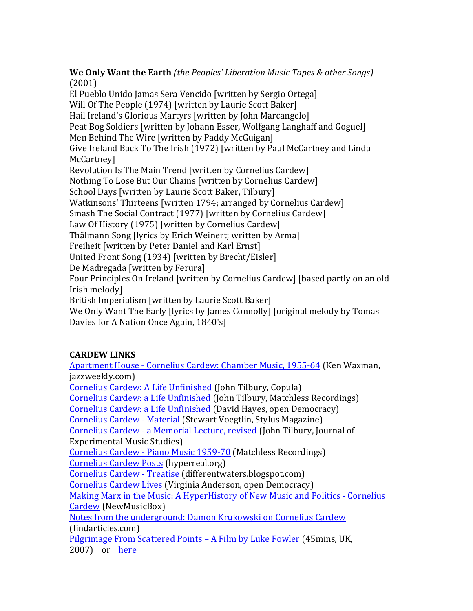**We Only Want the Earth** *(the Peoples' Liberation Music Tapes & other Songs)* (2001)

El Pueblo Unido Jamas Sera Vencido [written by Sergio Ortega] Will Of The People (1974) [written by Laurie Scott Baker] Hail Ireland's Glorious Martyrs [written by John Marcangelo] Peat Bog Soldiers [written by Johann Esser, Wolfgang Langhaff and Goguel] Men Behind The Wire [written by Paddy McGuigan] Give Ireland Back To The Irish (1972) [written by Paul McCartney and Linda McCartney] Revolution Is The Main Trend [written by Cornelius Cardew] Nothing To Lose But Our Chains [written by Cornelius Cardew] School Days [written by Laurie Scott Baker, Tilbury] Watkinsons' Thirteens [written 1794; arranged by Cornelius Cardew] Smash The Social Contract (1977) [written by Cornelius Cardew] Law Of History (1975) [written by Cornelius Cardew] Thälmann Song [lyrics by Erich Weinert; written by Arma] Freiheit [written by Peter Daniel and Karl Ernst] United Front Song (1934) [written by Brecht/Eisler] De Madregada [written by Ferura] Four Principles On Ireland [written by Cornelius Cardew] [based partly on an old Irish melodyl British Imperialism [written by Laurie Scott Baker] We Only Want The Early [lyrics by James Connolly] [original melody by Tomas

Davies for A Nation Once Again, 1840's]

# **CARDEW LINKS**

Apartment House - Cornelius Cardew: Chamber Music, 1955-64 (Ken Waxman, jazzweekly.com) Cornelius Cardew: A Life Unfinished (John Tilbury, Copula) Cornelius Cardew: a Life Unfinished (John Tilbury, Matchless Recordings) Cornelius Cardew: a Life Unfinished (David Hayes, open Democracy) Cornelius Cardew - Material (Stewart Voegtlin, Stylus Magazine) Cornelius Cardew - a Memorial Lecture, revised (John Tilbury, Journal of Experimental Music Studies) Cornelius Cardew - Piano Music 1959-70 (Matchless Recordings) Cornelius!Cardew!Posts (hyperreal.org) Cornelius Cardew - Treatise (differentwaters.blogspot.com) Cornelius Cardew Lives (Virginia Anderson, open Democracy) Making Marx in the Music: A HyperHistory of New Music and Politics - Cornelius Cardew (NewMusicBox) Notes from the underground: Damon Krukowski on Cornelius Cardew (findarticles.com) Pilgrimage From Scattered Points – A Film by Luke Fowler (45mins, UK, 2007) or here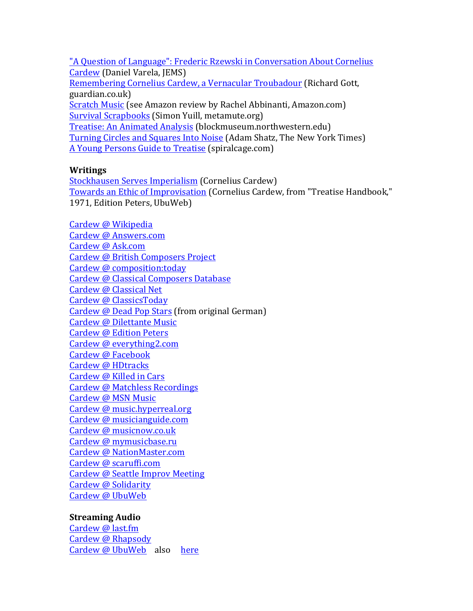"A Question of Language": Frederic Rzewski in Conversation About Cornelius Cardew (Daniel Varela, JEMS) Remembering Cornelius Cardew, a Vernacular Troubadour (Richard Gott, guardian.co.uk) Scratch Music (see Amazon review by Rachel Abbinanti, Amazon.com) Survival Scrapbooks (Simon Yuill, metamute.org) Treatise: An Animated Analysis (blockmuseum.northwestern.edu) Turning Circles and Squares Into Noise (Adam Shatz, The New York Times) A Young Persons Guide to Treatise (spiralcage.com)

#### **Writings**

Stockhausen Serves Imperialism (Cornelius Cardew) Towards an Ethic of Improvisation (Cornelius Cardew, from "Treatise Handbook," 1971, Edition Peters, UbuWeb)

Cardew @!Wikipedia Cardew @ Answers.com Cardew @ Ask.com Cardew @ British Composers Project Cardew @ composition:today Cardew @ Classical Composers Database Cardew @ Classical Net Cardew @ ClassicsToday Cardew @ Dead Pop Stars (from original German) Cardew @ Dilettante Music Cardew @ Edition Peters Cardew @ everything2.com Cardew @ Facebook Cardew @ HDtracks Cardew @ Killed in Cars Cardew @ Matchless Recordings Cardew @ MSN Music Cardew @ music.hyperreal.org Cardew @ musicianguide.com Cardew @ musicnow.co.uk Cardew @ mymusicbase.ru Cardew @ NationMaster.com Cardew @ scaruffi.com Cardew @ Seattle Improv Meeting Cardew @ Solidarity Cardew @ UbuWeb

## **Streaming Audio**

Cardew @ last.fm Cardew @ Rhapsody Cardew @ UbuWeb also here